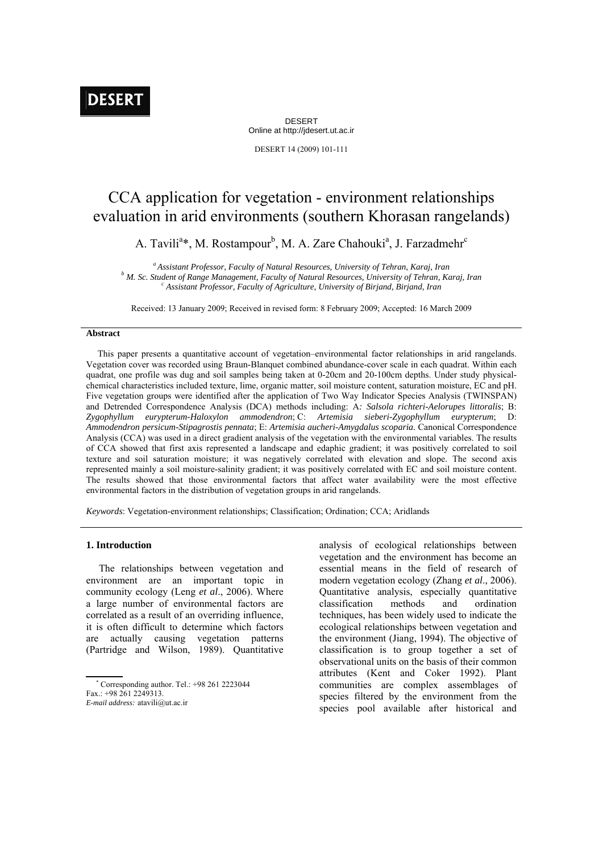# **DESERT**

DESERT Online at http://jdesert.ut.ac.ir

DESERT 14 (2009) 101-111

# CCA application for vegetation - environment relationships evaluation in arid environments (southern Khorasan rangelands)

A. Tavili<sup>a</sup>\*, M. Rostampour<sup>b</sup>, M. A. Zare Chahouki<sup>a</sup>, J. Farzadmehr<sup>c</sup>

*a Assistant Professor, Faculty of Natural Resources, University of Tehran, Karaj, Iran b b* M. Sc. Student of Range Management, Faculty of Natural Resources, University of Tehran, Karaj, Iran

 *Assistant Professor, Faculty of Agriculture, University of Birjand, Birjand, Iran* 

Received: 13 January 2009; Received in revised form: 8 February 2009; Accepted: 16 March 2009

#### **Abstract**

 This paper presents a quantitative account of vegetation–environmental factor relationships in arid rangelands. Vegetation cover was recorded using Braun-Blanquet combined abundance-cover scale in each quadrat. Within each quadrat, one profile was dug and soil samples being taken at 0-20cm and 20-100cm depths. Under study physicalchemical characteristics included texture, lime, organic matter, soil moisture content, saturation moisture, EC and pH. Five vegetation groups were identified after the application of Two Way Indicator Species Analysis (TWINSPAN) and Detrended Correspondence Analysis (DCA) methods including: A*: Salsola richteri-Aelorupes littoralis*; B: *Zygophyllum eurypterum-Haloxylon ammodendron*; C: *Artemisia sieberi-Zygophyllum eurypterum*; D: *Ammodendron persicum-Stipagrostis pennata*; E: *Artemisia aucheri-Amygdalus scoparia.* Canonical Correspondence Analysis (CCA) was used in a direct gradient analysis of the vegetation with the environmental variables. The results of CCA showed that first axis represented a landscape and edaphic gradient; it was positively correlated to soil texture and soil saturation moisture; it was negatively correlated with elevation and slope. The second axis represented mainly a soil moisture-salinity gradient; it was positively correlated with EC and soil moisture content. The results showed that those environmental factors that affect water availability were the most effective environmental factors in the distribution of vegetation groups in arid rangelands.

*Keywords*: Vegetation-environment relationships; Classification; Ordination; CCA; Aridlands

### **1. Introduction**

 The relationships between vegetation and environment are an important topic in community ecology (Leng *et al*., 2006). Where a large number of environmental factors are correlated as a result of an overriding influence, it is often difficult to determine which factors are actually causing vegetation patterns (Partridge and Wilson, 1989). Quantitative analysis of ecological relationships between vegetation and the environment has become an essential means in the field of research of modern vegetation ecology (Zhang *et al*., 2006). Quantitative analysis, especially quantitative classification methods and ordination techniques, has been widely used to indicate the ecological relationships between vegetation and the environment (Jiang, 1994). The objective of classification is to group together a set of observational units on the basis of their common attributes (Kent and Coker 1992). Plant communities are complex assemblages of species filtered by the environment from the species pool available after historical and

 Corresponding author. Tel.: +98 261 2223044 Fax.: +98 261 2249313. *E-mail address:* atavili@ut.ac.ir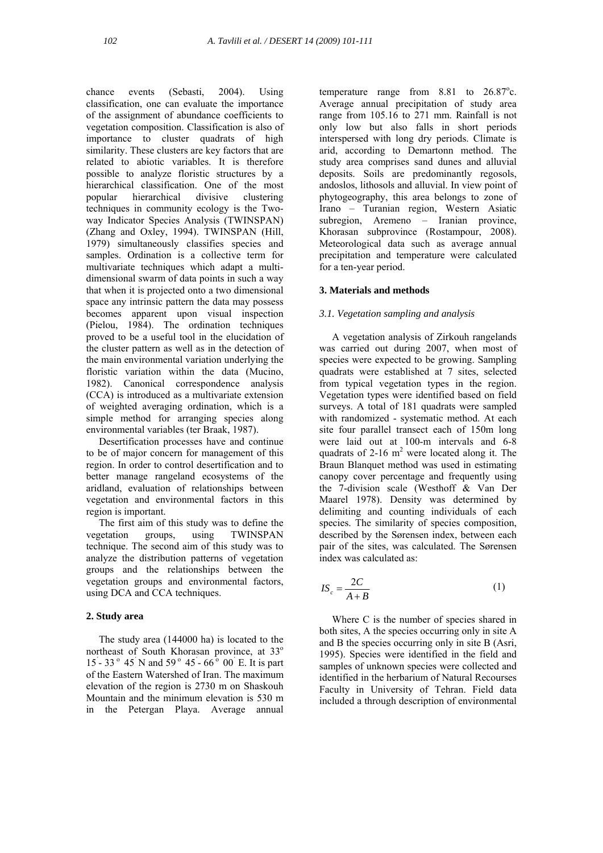chance events (Sebasti, 2004). Using classification, one can evaluate the importance of the assignment of abundance coefficients to vegetation composition. Classification is also of importance to cluster quadrats of high similarity. These clusters are key factors that are related to abiotic variables. It is therefore possible to analyze floristic structures by a hierarchical classification. One of the most<br>popular hierarchical divisive clustering hierarchical divisive clustering techniques in community ecology is the Twoway Indicator Species Analysis (TWINSPAN) (Zhang and Oxley, 1994). TWINSPAN (Hill, 1979) simultaneously classifies species and samples. Ordination is a collective term for multivariate techniques which adapt a multidimensional swarm of data points in such a way that when it is projected onto a two dimensional space any intrinsic pattern the data may possess becomes apparent upon visual inspection (Pielou, 1984). The ordination techniques proved to be a useful tool in the elucidation of the cluster pattern as well as in the detection of the main environmental variation underlying the floristic variation within the data (Mucino, 1982). Canonical correspondence analysis (CCA) is introduced as a multivariate extension of weighted averaging ordination, which is a simple method for arranging species along environmental variables (ter Braak, 1987).

 Desertification processes have and continue to be of major concern for management of this region. In order to control desertification and to better manage rangeland ecosystems of the aridland, evaluation of relationships between vegetation and environmental factors in this region is important.

 The first aim of this study was to define the vegetation groups, using TWINSPAN technique. The second aim of this study was to analyze the distribution patterns of vegetation groups and the relationships between the vegetation groups and environmental factors, using DCA and CCA techniques.

#### **2. Study area**

 The study area (144000 ha) is located to the northeast of South Khorasan province, at 33<sup>o</sup>  $15 - 33$  ° 45<sup>'</sup> N and 59 ° 45<sup>'</sup> - 66<sup>°</sup> 00<sup>'</sup> E. It is part of the Eastern Watershed of Iran. The maximum elevation of the region is 2730 m on Shaskouh Mountain and the minimum elevation is 530 m in the Petergan Playa. Average annual

temperature range from  $8.81$  to  $26.87^{\circ}$ c. Average annual precipitation of study area range from 105.16 to 271 mm. Rainfall is not only low but also falls in short periods interspersed with long dry periods. Climate is arid, according to Demartonn method. The study area comprises sand dunes and alluvial deposits. Soils are predominantly regosols, andoslos, lithosols and alluvial. In view point of phytogeography, this area belongs to zone of Irano – Turanian region, Western Asiatic subregion, Aremeno – Iranian province, Khorasan subprovince (Rostampour, 2008). Meteorological data such as average annual precipitation and temperature were calculated for a ten-year period.

#### **3. Materials and methods**

#### *3.1. Vegetation sampling and analysis*

 A vegetation analysis of Zirkouh rangelands was carried out during 2007, when most of species were expected to be growing. Sampling quadrats were established at 7 sites, selected from typical vegetation types in the region. Vegetation types were identified based on field surveys. A total of 181 quadrats were sampled with randomized - systematic method. At each site four parallel transect each of 150m long were laid out at 100-m intervals and 6-8 quadrats of  $2\n-16$  m<sup>2</sup> were located along it. The Braun Blanquet method was used in estimating canopy cover percentage and frequently using the 7-division scale (Westhoff & Van Der Maarel 1978). Density was determined by delimiting and counting individuals of each species. The similarity of species composition, described by the Sørensen index, between each pair of the sites, was calculated. The Sørensen index was calculated as:

$$
IS_c = \frac{2C}{A+B}
$$
 (1)

 Where C is the number of species shared in both sites, A the species occurring only in site A and B the species occurring only in site B (Asri, 1995). Species were identified in the field and samples of unknown species were collected and identified in the herbarium of Natural Recourses Faculty in University of Tehran. Field data included a through description of environmental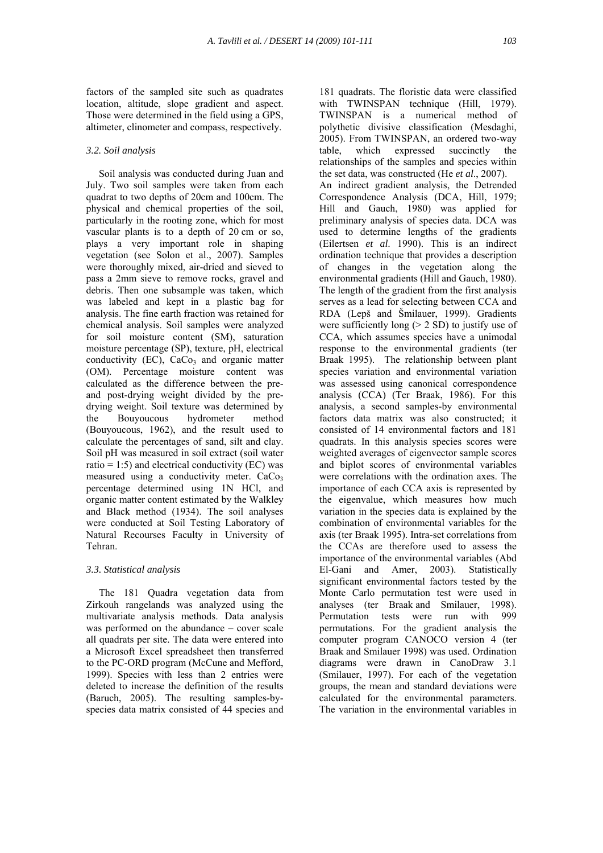factors of the sampled site such as quadrates location, altitude, slope gradient and aspect. Those were determined in the field using a GPS, altimeter, clinometer and compass, respectively.

#### *3.2. Soil analysis*

 Soil analysis was conducted during Juan and July. Two soil samples were taken from each quadrat to two depths of 20cm and 100cm. The physical and chemical properties of the soil, particularly in the rooting zone, which for most vascular plants is to a depth of 20 cm or so, plays a very important role in shaping vegetation (see Solon et al., 2007). Samples were thoroughly mixed, air-dried and sieved to pass a 2mm sieve to remove rocks, gravel and debris. Then one subsample was taken, which was labeled and kept in a plastic bag for analysis. The fine earth fraction was retained for chemical analysis. Soil samples were analyzed for soil moisture content (SM), saturation moisture percentage (SP), texture, pH, electrical conductivity  $(EC)$ ,  $CaCo<sub>3</sub>$  and organic matter (OM). Percentage moisture content was calculated as the difference between the preand post-drying weight divided by the predrying weight. Soil texture was determined by the Bouyoucous hydrometer method (Bouyoucous, 1962), and the result used to calculate the percentages of sand, silt and clay. Soil pH was measured in soil extract (soil water ratio  $= 1:5$ ) and electrical conductivity (EC) was measured using a conductivity meter.  $CaCo<sub>3</sub>$ percentage determined using 1N HCl, and organic matter content estimated by the Walkley and Black method (1934). The soil analyses were conducted at Soil Testing Laboratory of Natural Recourses Faculty in University of Tehran.

## *3.3. Statistical analysis*

 The 181 Quadra vegetation data from Zirkouh rangelands was analyzed using the multivariate analysis methods. Data analysis was performed on the abundance – cover scale all quadrats per site. The data were entered into a Microsoft Excel spreadsheet then transferred to the PC-ORD program (McCune and Mefford, 1999). Species with less than 2 entries were deleted to increase the definition of the results (Baruch, 2005). The resulting samples-byspecies data matrix consisted of 44 species and

181 quadrats. The floristic data were classified with TWINSPAN technique (Hill, 1979). TWINSPAN is a numerical method of polythetic divisive classification (Mesdaghi, 2005). From TWINSPAN, an ordered two-way table, which expressed succinctly the relationships of the samples and species within the set data, was constructed (He *et al*., 2007). An indirect gradient analysis, the Detrended Correspondence Analysis (DCA, Hill, 1979; Hill and Gauch, 1980) was applied for preliminary analysis of species data. DCA was used to determine lengths of the gradients (Eilertsen *et al*. 1990). This is an indirect ordination technique that provides a description of changes in the vegetation along the environmental gradients (Hill and Gauch, 1980). The length of the gradient from the first analysis serves as a lead for selecting between CCA and RDA (Lepš and Šmilauer, 1999). Gradients were sufficiently long  $(> 2 SD)$  to justify use of CCA, which assumes species have a unimodal response to the environmental gradients (ter Braak 1995). The relationship between plant species variation and environmental variation was assessed using canonical correspondence analysis (CCA) (Ter Braak, 1986). For this analysis, a second samples-by environmental factors data matrix was also constructed; it consisted of 14 environmental factors and 181 quadrats. In this analysis species scores were weighted averages of eigenvector sample scores and biplot scores of environmental variables were correlations with the ordination axes. The importance of each CCA axis is represented by the eigenvalue, which measures how much variation in the species data is explained by the combination of environmental variables for the axis (ter Braak 1995). Intra-set correlations from the CCAs are therefore used to assess the importance of the environmental variables (Abd El-Gani and Amer, 2003). Statistically significant environmental factors tested by the Monte Carlo permutation test were used in analyses (ter Braak and Smilauer, 1998). Permutation tests were run with 999 permutations. For the gradient analysis the computer program CANOCO version 4 (ter Braak and Smilauer 1998) was used. Ordination diagrams were drawn in CanoDraw 3.1 (Smilauer, 1997). For each of the vegetation groups, the mean and standard deviations were calculated for the environmental parameters. The variation in the environmental variables in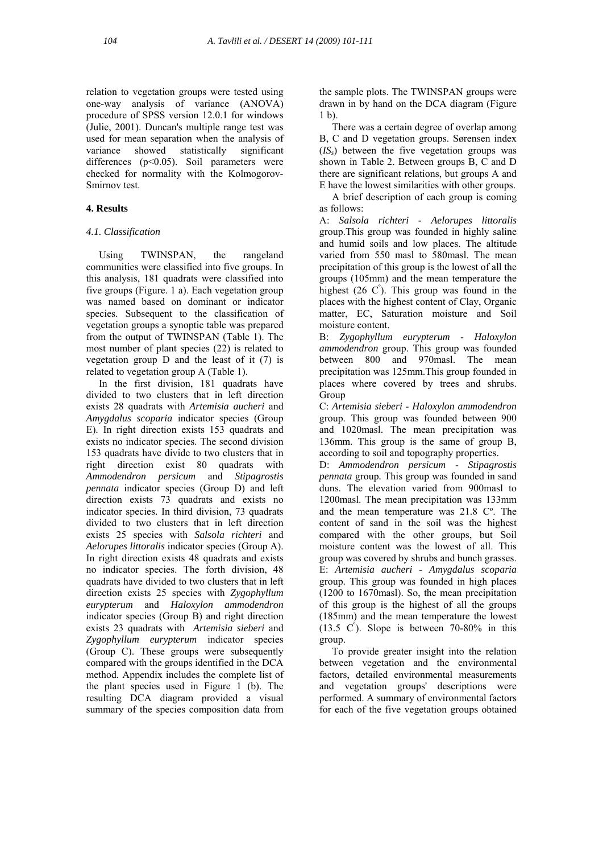relation to vegetation groups were tested using one-way analysis of variance (ANOVA) procedure of SPSS version 12.0.1 for windows (Julie, 2001). Duncan's multiple range test was used for mean separation when the analysis of variance showed statistically significant differences (p<0.05). Soil parameters were checked for normality with the Kolmogorov-Smirnov test.

# **4. Results**

#### *4.1. Classification*

 Using TWINSPAN, the rangeland communities were classified into five groups. In this analysis, 181 quadrats were classified into five groups (Figure. 1 a). Each vegetation group was named based on dominant or indicator species. Subsequent to the classification of vegetation groups a synoptic table was prepared from the output of TWINSPAN (Table 1). The most number of plant species (22) is related to vegetation group D and the least of it (7) is related to vegetation group A (Table 1).

 In the first division, 181 quadrats have divided to two clusters that in left direction exists 28 quadrats with *Artemisia aucheri* and *Amygdalus scoparia* indicator species (Group E). In right direction exists 153 quadrats and exists no indicator species. The second division 153 quadrats have divide to two clusters that in right direction exist 80 quadrats with *Ammodendron persicum* and *Stipagrostis pennata* indicator species (Group D) and left direction exists 73 quadrats and exists no indicator species. In third division, 73 quadrats divided to two clusters that in left direction exists 25 species with *Salsola richteri* and *Aelorupes littoralis* indicator species (Group A). In right direction exists 48 quadrats and exists no indicator species. The forth division, 48 quadrats have divided to two clusters that in left direction exists 25 species with *Zygophyllum eurypterum* and *Haloxylon ammodendron*  indicator species (Group B) and right direction exists 23 quadrats with *Artemisia sieberi* and *Zygophyllum eurypterum* indicator species (Group C). These groups were subsequently compared with the groups identified in the DCA method. Appendix includes the complete list of the plant species used in Figure 1 (b). The resulting DCA diagram provided a visual summary of the species composition data from the sample plots. The TWINSPAN groups were drawn in by hand on the DCA diagram (Figure 1 b).

 There was a certain degree of overlap among B, C and D vegetation groups. Sørensen index (*ISs*) between the five vegetation groups was shown in Table 2. Between groups B, C and D there are significant relations, but groups A and E have the lowest similarities with other groups.

 A brief description of each group is coming as follows:

A: *Salsola richteri - Aelorupes littoralis* group.This group was founded in highly saline and humid soils and low places. The altitude varied from 550 masl to 580masl. The mean precipitation of this group is the lowest of all the groups (105mm) and the mean temperature the highest  $(26 \, \text{C}^{\degree})$ . This group was found in the places with the highest content of Clay, Organic matter, EC, Saturation moisture and Soil moisture content.

B: *Zygophyllum eurypterum* - *Haloxylon ammodendron* group. This group was founded between 800 and 970masl. The mean precipitation was 125mm.This group founded in places where covered by trees and shrubs. **Group** 

C: *Artemisia sieberi* - *Haloxylon ammodendron* group. This group was founded between 900 and 1020masl. The mean precipitation was 136mm. This group is the same of group B, according to soil and topography properties.

D: *Ammodendron persicum* - *Stipagrostis pennata* group*.* This group was founded in sand duns. The elevation varied from 900masl to 1200masl. The mean precipitation was 133mm and the mean temperature was 21.8 Cº. The content of sand in the soil was the highest compared with the other groups, but Soil moisture content was the lowest of all. This group was covered by shrubs and bunch grasses. E: *Artemisia aucheri* - *Amygdalus scoparia* group. This group was founded in high places (1200 to 1670masl). So, the mean precipitation of this group is the highest of all the groups (185mm) and the mean temperature the lowest  $(13.5 \, \text{C}^{\circ})$ . Slope is between 70-80% in this group.

 To provide greater insight into the relation between vegetation and the environmental factors, detailed environmental measurements and vegetation groups' descriptions were performed. A summary of environmental factors for each of the five vegetation groups obtained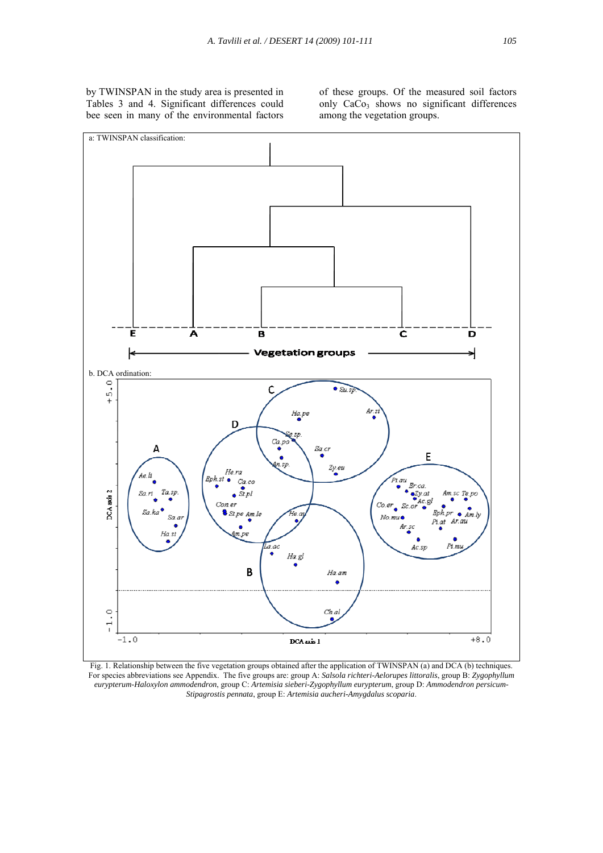by TWINSPAN in the study area is presented in Tables 3 and 4. Significant differences could bee seen in many of the environmental factors

of these groups. Of the measured soil factors only CaCo<sub>3</sub> shows no significant differences among the vegetation groups.



Fig. 1. Relationship between the five vegetation groups obtained after the application of TWINSPAN (a) and DCA (b) techniques. For species abbreviations see Appendix. The five groups are: group A: *Salsola richteri-Aelorupes littoralis*, group B: *Zygophyllum eurypterum-Haloxylon ammodendron*, group C: *Artemisia sieberi-Zygophyllum eurypterum*, group D: *Ammodendron persicum-Stipagrostis pennata*, group E: *Artemisia aucheri-Amygdalus scoparia*.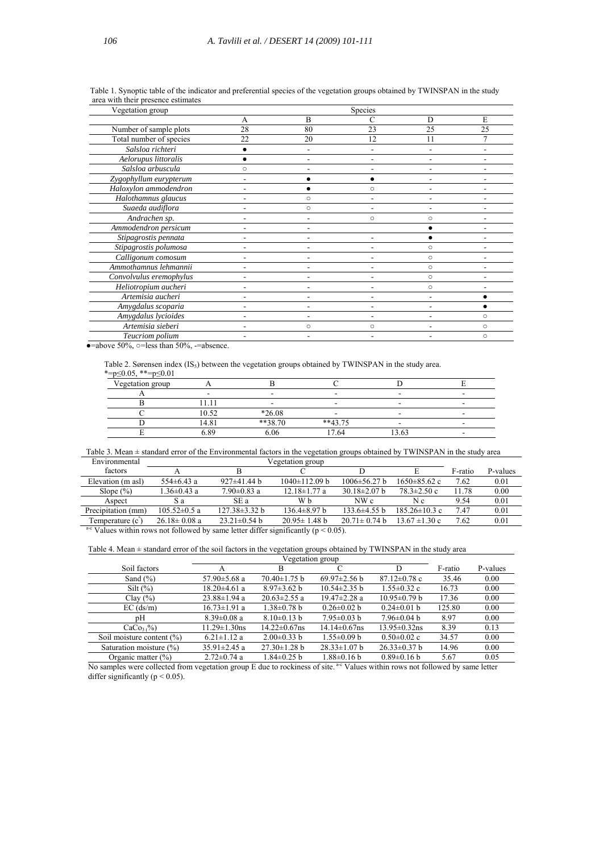| Vegetation group        |    |                | Species |            |         |
|-------------------------|----|----------------|---------|------------|---------|
|                         | A  | $\overline{B}$ |         | D          | E       |
| Number of sample plots  | 28 | 80             | 23      | 25         | 25      |
| Total number of species | 22 | 20             | 12      | 11         |         |
| Salsloa richteri        |    |                |         |            |         |
| Aelorupus littoralis    |    |                |         |            |         |
| Salsloa arbuscula       | Ω  |                |         |            |         |
| Zygophyllum eurypterum  |    |                |         |            |         |
| Haloxylon ammodendron   |    |                | $\circ$ |            |         |
| Halothamnus glaucus     |    | $\bigcirc$     |         |            |         |
| Suaeda audiflora        |    | $\bigcirc$     |         |            |         |
| Andrachen sp.           |    |                | $\circ$ | $\bigcirc$ |         |
| Ammodendron persicum    |    |                |         |            |         |
| Stipagrostis pennata    |    |                |         |            |         |
| Stipagrostis polumosa   |    |                |         | $\bigcirc$ |         |
| Calligonum comosum      |    |                |         | $\circ$    |         |
| Ammothamnus lehmannii   |    |                |         | $\circ$    |         |
| Convolvulus eremophylus |    |                |         | $\circ$    |         |
| Heliotropium aucheri    |    |                |         | $\circ$    |         |
| Artemisia aucheri       |    |                |         |            |         |
| Amygdalus scoparia      |    |                |         |            |         |
| Amygdalus lycioides     |    |                |         |            | $\circ$ |
| Artemisia sieberi       |    | ∩              | Ō       |            | $\circ$ |
| Teucriom polium         |    |                |         |            | $\circ$ |

 Table 1. Synoptic table of the indicator and preferential species of the vegetation groups obtained by TWINSPAN in the study area with their presence estimates

 $\bullet$ =above 50%,  $\circ$ =less than 50%, -=absence.

Table 2. Sørensen index (IS<sub>5</sub>) between the vegetation groups obtained by TWINSPAN in the study area.  $* = p \le 0.05$ , \*\*=p $\le 0.01$ 

| Vegetation group |         |           |          |       |  |
|------------------|---------|-----------|----------|-------|--|
|                  |         | ۰         |          |       |  |
|                  |         |           |          |       |  |
|                  | 10.52   | $*26.08$  |          |       |  |
|                  | 14.81   | $**38.70$ | $**4375$ |       |  |
|                  | $\circ$ | 5.06      | 7.64     | 13.63 |  |

Table 3. Mean  $\pm$  standard error of the Environmental factors in the vegetation groups obtained by TWINSPAN in the study area<br>
Vegetation group Vegetation group

| -----------------  |                    |                    | $\frac{1}{2}$      |                    |                     |         |          |
|--------------------|--------------------|--------------------|--------------------|--------------------|---------------------|---------|----------|
| factors            |                    |                    |                    |                    |                     | F-ratio | P-values |
| Elevation (m asl)  | $554\pm 6.43$ a    | $927\pm41.44$ b    | $1040\pm112.09$ b  | 1006±56.27 b       | $1650\pm85.62$ c    | 7.62    | 0.01     |
| Slope $(\%)$       | $-36\pm0.43$ a     | $7.90 \pm 0.83$ a  | $12.18 \pm 1.77$ a | $30.18 \pm 2.07$ b | $78.3 \pm 2.50$ c   | 1178    | 0.00     |
| Aspect             | Sа                 | SE a               | W h                | NW c               | Nс                  | 9.54    | 0.01     |
| Precipitation (mm) | $105.52 \pm 0.5$ a | $127.38\pm3.32$ b  | 136.4±8.97 h       | $133.6\pm4.55$ b   | $185.26 \pm 10.3$ c | 7.47    | 0.01     |
| Temperature (c     | $26.18 \pm 0.08$ a | $23.21 \pm 0.54$ b | $20.95 \pm 1.48$ b | $20.71 \pm 0.74$ b | $13.67 \pm 1.30$ c  | 7.62    | 0.01     |
| $2 - 2 = 3$<br>.   |                    | $\cdots$           |                    |                    |                     |         |          |

<sup>a-c</sup> Values within rows not followed by same letter differ significantly (p < 0.05).

Table 4. Mean ± standard error of the soil factors in the vegetation groups obtained by TWINSPAN in the study area

|                               | Vegetation group    |                     |                     |                     |         |          |
|-------------------------------|---------------------|---------------------|---------------------|---------------------|---------|----------|
| Soil factors                  | А                   | B                   | C                   | D                   | F-ratio | P-values |
| Sand $(\% )$                  | $57.90 \pm 5.68$ a  | $70.40 \pm 1.75$ b  | $69.97 \pm 2.56$ b  | $87.12 \pm 0.78$ c  | 35.46   | 0.00     |
| $Silt (\%)$                   | 18.20±4.61 a        | $8.97 \pm 3.62$ b   | $10.54 \pm 2.35$ b  | $1.55 \pm 0.32$ c   | 16.73   | 0.00     |
| Clay $(\% )$                  | $23.88 \pm 1.94$ a  | $20.63 \pm 2.55$ a  | $19.47 \pm 2.28$ a  | $10.95 \pm 0.79$ b  | 17.36   | 0.00     |
| $EC$ (ds/m)                   | 16.73±1.91 a        | $1.38 \pm 0.78$ b   | $0.26 \pm 0.02$ b   | $0.24 \pm 0.01$ b   | 125.80  | 0.00     |
| pΗ                            | $8.39 \pm 0.08$ a   | $8.10\pm0.13$ b     | $7.95 \pm 0.03$ b   | $7.96 \pm 0.04$ b   | 8.97    | 0.00     |
| $CaCo3/%$ )                   | $11.29 \pm 1.30$ ns | $14.22 \pm 0.67$ ns | $14.14 \pm 0.67$ ns | $13.95 \pm 0.32$ ns | 8.39    | 0.13     |
| Soil moisture content $(\% )$ | $6.21 \pm 1.12$ a   | $2.00\pm0.33$ b     | $1.55 \pm 0.09$ b   | $0.50 \pm 0.02$ c   | 34.57   | 0.00     |
| Saturation moisture (%)       | 35.91 $\pm$ 2.45 a  | $27.30 \pm 1.28$ h  | $28.33 \pm 1.07$ h  | $26.33 \pm 0.37$ b  | 14.96   | 0.00     |
| Organic matter $(\% )$        | $2.72 \pm 0.74$ a   | $1.84 \pm 0.25$ b   | 1.88±0.16 b         | $0.89\pm0.16$ b     | 5.67    | 0.05     |

No samples were collected from vegetation group E due to rockiness of site.<sup>a-c</sup> Values within rows not followed by same letter differ significantly ( $p < 0.05$ ).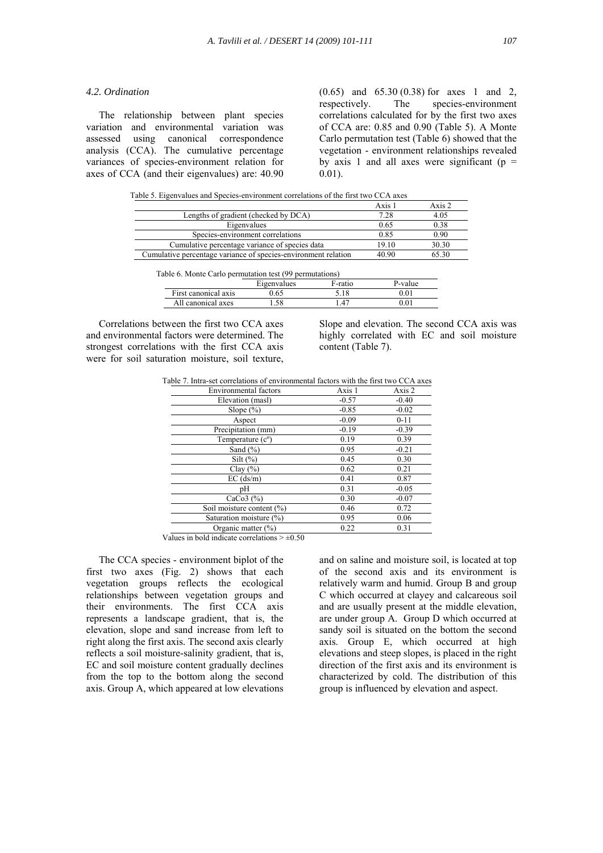#### *4.2. Ordination*

 The relationship between plant species variation and environmental variation was assessed using canonical correspondence analysis (CCA). The cumulative percentage variances of species-environment relation for axes of CCA (and their eigenvalues) are: 40.90

(0.65) and 65.30 (0.38) for axes 1 and 2, respectively. The species-environment correlations calculated for by the first two axes of CCA are: 0.85 and 0.90 (Table 5). A Monte Carlo permutation test (Table 6) showed that the vegetation - environment relationships revealed by axis 1 and all axes were significant ( $p =$ 0.01).

Table 5. Eigenvalues and Species-environment correlations of the first two CCA axes

|                                                                | Axis 1 | Axis 2 |
|----------------------------------------------------------------|--------|--------|
| Lengths of gradient (checked by DCA)                           | 7.28   | 4.05   |
| Eigenvalues                                                    | 0.65   | 0.38   |
| Species-environment correlations                               | 0.85   | 0.90   |
| Cumulative percentage variance of species data                 | 19.10  | 30.30  |
| Cumulative percentage variance of species-environment relation | 40.90  | 65.30  |
|                                                                |        |        |

| Table 6. Monte Carlo permutation test (99 permutations) |             |         |           |  |
|---------------------------------------------------------|-------------|---------|-----------|--|
|                                                         | Eigenvalues | F-ratio | P-value   |  |
| First canonical axis                                    | 0.65        |         | $_{0.01}$ |  |
| All canonical axes                                      | 58          | 47      | $_{0.01}$ |  |

 Correlations between the first two CCA axes and environmental factors were determined. The strongest correlations with the first CCA axis were for soil saturation moisture, soil texture, Slope and elevation. The second CCA axis was highly correlated with EC and soil moisture content (Table 7).

| Table 7. Intra-set correlations of environmental factors with the first two CCA axes |
|--------------------------------------------------------------------------------------|
|--------------------------------------------------------------------------------------|

| <b>Environmental factors</b> | Axis 1  | Axis 2   |
|------------------------------|---------|----------|
| Elevation (masl)             | $-0.57$ | $-0.40$  |
| Slope $(\%)$                 | $-0.85$ | $-0.02$  |
| Aspect                       | $-0.09$ | $0 - 11$ |
| Precipitation (mm)           | $-0.19$ | $-0.39$  |
| Temperature $(c^{\circ})$    | 0.19    | 0.39     |
| Sand $(\% )$                 | 0.95    | $-0.21$  |
| $Silt (\%)$                  | 0.45    | 0.30     |
| Clay $(\% )$                 | 0.62    | 0.21     |
| $EC$ (ds/m)                  | 0.41    | 0.87     |
| рH                           | 0.31    | $-0.05$  |
| CaCo3(%)                     | 0.30    | $-0.07$  |
| Soil moisture content (%)    | 0.46    | 0.72     |
| Saturation moisture (%)      | 0.95    | 0.06     |
| Organic matter $(\% )$       | 0.22    | 0.31     |

Values in bold indicate correlations  $> \pm 0.50$ 

 The CCA species - environment biplot of the first two axes (Fig. 2) shows that each vegetation groups reflects the ecological relationships between vegetation groups and their environments. The first CCA axis represents a landscape gradient, that is, the elevation, slope and sand increase from left to right along the first axis. The second axis clearly reflects a soil moisture-salinity gradient, that is, EC and soil moisture content gradually declines from the top to the bottom along the second axis. Group A, which appeared at low elevations

and on saline and moisture soil, is located at top of the second axis and its environment is relatively warm and humid. Group B and group C which occurred at clayey and calcareous soil and are usually present at the middle elevation, are under group A. Group D which occurred at sandy soil is situated on the bottom the second axis. Group E, which occurred at high elevations and steep slopes, is placed in the right direction of the first axis and its environment is characterized by cold. The distribution of this group is influenced by elevation and aspect.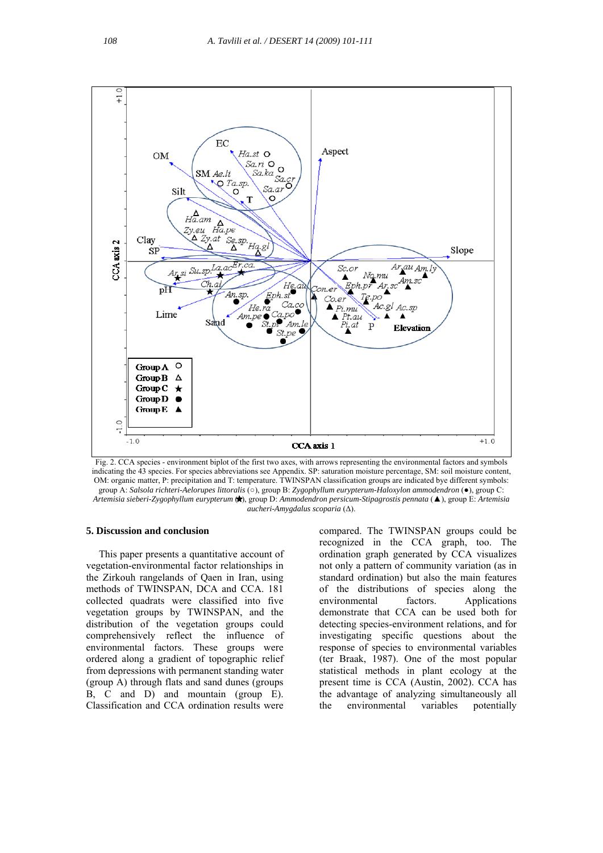

Fig. 2. CCA species - environment biplot of the first two axes, with arrows representing the environmental factors and symbols indicating the 43 species. For species abbreviations see Appendix. SP: saturation moisture percentage, SM: soil moisture content, OM: organic matter, P: precipitation and T: temperature. TWINSPAN classification groups are indicated bye different symbols: group A: *Salsola richteri-Aelorupes littoralis* (○), group B: *Zygophyllum eurypterum-Haloxylon ammodendron* (●), group C: *Artemisia sieberi-Zygophyllum eurypterum* ( ), group D: *Ammodendron persicum-Stipagrostis pennata* (▲), group E: *Artemisia aucheri-Amygdalus scoparia* (Δ).

#### **5. Discussion and conclusion**

 This paper presents a quantitative account of vegetation-environmental factor relationships in the Zirkouh rangelands of Qaen in Iran, using methods of TWINSPAN, DCA and CCA. 181 collected quadrats were classified into five vegetation groups by TWINSPAN, and the distribution of the vegetation groups could comprehensively reflect the influence of environmental factors. These groups were ordered along a gradient of topographic relief from depressions with permanent standing water (group A) through flats and sand dunes (groups B, C and D) and mountain (group E). Classification and CCA ordination results were

compared. The TWINSPAN groups could be recognized in the CCA graph, too. The ordination graph generated by CCA visualizes not only a pattern of community variation (as in standard ordination) but also the main features of the distributions of species along the environmental factors. Applications demonstrate that CCA can be used both for detecting species-environment relations, and for investigating specific questions about the response of species to environmental variables (ter Braak, 1987). One of the most popular statistical methods in plant ecology at the present time is CCA (Austin, 2002). CCA has the advantage of analyzing simultaneously all the environmental variables potentially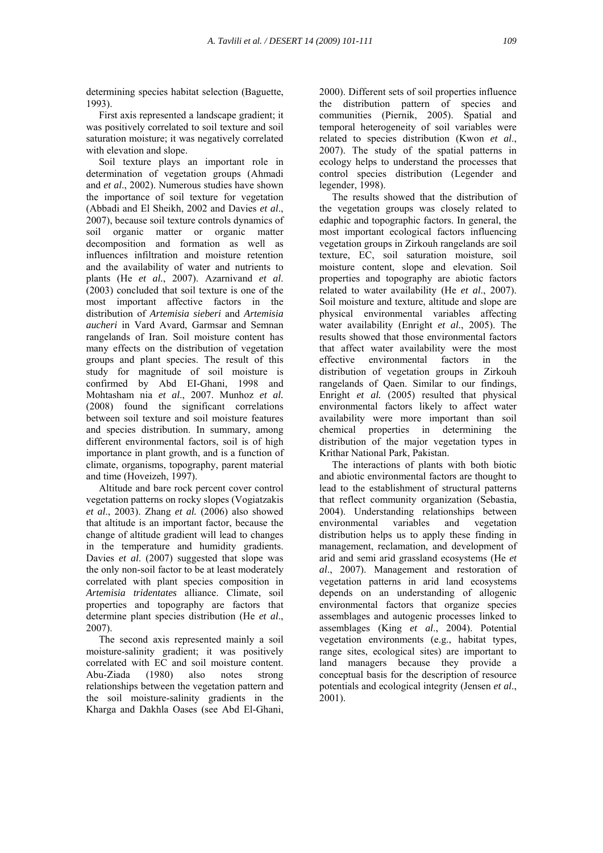determining species habitat selection (Baguette, 1993).

 First axis represented a landscape gradient; it was positively correlated to soil texture and soil saturation moisture; it was negatively correlated with elevation and slope.

 Soil texture plays an important role in determination of vegetation groups (Ahmadi and *et al*., 2002). Numerous studies have shown the importance of soil texture for vegetation (Abbadi and El Sheikh, 2002 and Davies *et al*., 2007), because soil texture controls dynamics of soil organic matter or organic matter decomposition and formation as well as influences infiltration and moisture retention and the availability of water and nutrients to plants (He *et al.*, 2007). Azarnivand *et al*. (2003) concluded that soil texture is one of the most important affective factors in the distribution of *Artemisia sieberi* and *Artemisia aucheri* in Vard Avard, Garmsar and Semnan rangelands of Iran. Soil moisture content has many effects on the distribution of vegetation groups and plant species. The result of this study for magnitude of soil moisture is confirmed by Abd EI-Ghani, 1998 and Mohtasham nia *et al*., 2007. Munhoz *et al.* (2008) found the significant correlations between soil texture and soil moisture features and species distribution. In summary, among different environmental factors, soil is of high importance in plant growth, and is a function of climate, organisms, topography, parent material and time (Hoveizeh, 1997).

 Altitude and bare rock percent cover control vegetation patterns on rocky slopes (Vogiatzakis *et al*., 2003). Zhang *et al.* (2006) also showed that altitude is an important factor, because the change of altitude gradient will lead to changes in the temperature and humidity gradients. Davies *et al*. (2007) suggested that slope was the only non-soil factor to be at least moderately correlated with plant species composition in *Artemisia tridentates* alliance. Climate, soil properties and topography are factors that determine plant species distribution (He *et al*., 2007).

 The second axis represented mainly a soil moisture-salinity gradient; it was positively correlated with EC and soil moisture content. Abu-Ziada (1980) also notes strong relationships between the vegetation pattern and the soil moisture-salinity gradients in the Kharga and Dakhla Oases (see Abd El-Ghani,

2000). Different sets of soil properties influence the distribution pattern of species and communities (Piernik, 2005). Spatial and temporal heterogeneity of soil variables were related to species distribution (Kwon *et al*., 2007). The study of the spatial patterns in ecology helps to understand the processes that control species distribution (Legender and legender, 1998).

 The results showed that the distribution of the vegetation groups was closely related to edaphic and topographic factors. In general, the most important ecological factors influencing vegetation groups in Zirkouh rangelands are soil texture, EC, soil saturation moisture, soil moisture content, slope and elevation. Soil properties and topography are abiotic factors related to water availability (He *et al*., 2007). Soil moisture and texture, altitude and slope are physical environmental variables affecting water availability (Enright *et al*., 2005). The results showed that those environmental factors that affect water availability were the most effective environmental factors in the distribution of vegetation groups in Zirkouh rangelands of Qaen. Similar to our findings, Enright *et al.* (2005) resulted that physical environmental factors likely to affect water availability were more important than soil chemical properties in determining the distribution of the major vegetation types in Krithar National Park, Pakistan.

 The interactions of plants with both biotic and abiotic environmental factors are thought to lead to the establishment of structural patterns that reflect community organization (Sebastia, 2004). Understanding relationships between environmental variables and vegetation distribution helps us to apply these finding in management, reclamation, and development of arid and semi arid grassland ecosystems (He *et al*., 2007). Management and restoration of vegetation patterns in arid land ecosystems depends on an understanding of allogenic environmental factors that organize species assemblages and autogenic processes linked to assemblages (King *et al*., 2004). Potential vegetation environments (e.g., habitat types, range sites, ecological sites) are important to land managers because they provide a conceptual basis for the description of resource potentials and ecological integrity (Jensen *et al*., 2001).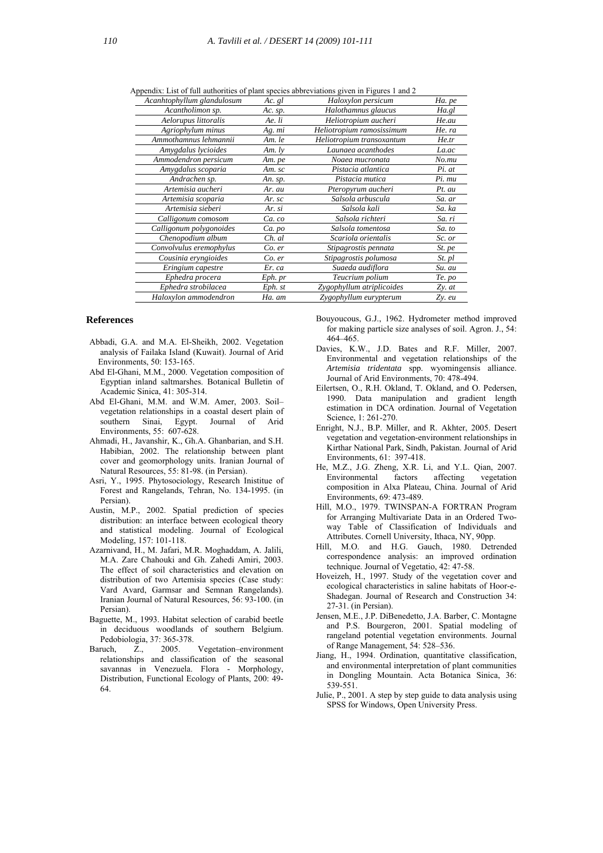Appendix: List of full authorities of plant species abbreviations given in Figures 1 and 2

| Acanhtophyllum glandulosum | Ac. gl  | Haloxylon persicum        | Ha. pe      |
|----------------------------|---------|---------------------------|-------------|
| Acantholimon sp.           | Ac. sp. | Halothamnus glaucus       | Ha.gl       |
| Aelorupus littoralis       | Ae. li  | Heliotropium aucheri      | He.au       |
| Agriophylum minus          | Ag. mi  | Heliotropium ramosissimum | He. ra      |
| Ammothamnus lehmannii      | Am. le  | Heliotropium transoxantum | He.tr       |
| Amygdalus lycioides        | Am. ly  | Launaea acanthodes        | La.ac       |
| Ammodendron persicum       | Am. pe  | Noaea mucronata           | No.mu       |
| Amygdalus scoparia         | Am. sc  | Pistacia atlantica        | Pi. at      |
| Andrachen sp.              | An. sp. | Pistacia mutica           | Pi. mu      |
| Artemisia aucheri          | Ar. au  | Pteropyrum aucheri        | Pt. au      |
| Artemisia scoparia         | Ar. sc  | Salsola arbuscula         | Sa. ar      |
| Artemisia sieberi          | Ar. si  | Salsola kali              | Sa. ka      |
| Calligonum comosom         | Ca. co  | Salsola richteri          | Sa. ri      |
| Calligonum polygonoides    | Ca. po  | Salsola tomentosa         | Sa. to      |
| Chenopodium album          | Ch. al  | Scariola orientalis       | Sc. or      |
| Convolvulus eremophylus    | Co. er  | Stipagrostis pennata      | St. pe      |
| Cousinia eryngioides       | Co. er  | Stipagrostis polumosa     | St. pl      |
| Eringium capestre          | Er. ca  | Suaeda audiflora          | Su. au      |
| Ephedra procera            | Eph. pr | Teucrium polium           | Te. po      |
| Ephedra strobilacea        | Eph. st | Zygophyllum atriplicoides | $Zy$ . $at$ |
| Haloxylon ammodendron      | Ha. am  | Zygophyllum eurypterum    | Zy. eu      |
|                            |         |                           |             |

#### **References**

- Abbadi, G.A. and M.A. El-Sheikh, 2002. Vegetation analysis of Failaka Island (Kuwait). Journal of Arid Environments, 50: 153-165.
- Abd El-Ghani, M.M., 2000. Vegetation composition of Egyptian inland saltmarshes. Botanical Bulletin of Academic Sinica, 41: 305-314.
- Abd El-Ghani, M.M. and W.M. Amer, 2003. Soil– vegetation relationships in a coastal desert plain of southern Sinai, Egypt. Journal of Arid Environments, 55: 607-628.
- Ahmadi, H., Javanshir, K., Gh.A. Ghanbarian, and S.H. Habibian, 2002. The relationship between plant cover and geomorphology units. Iranian Journal of Natural Resources, 55: 81-98. (in Persian).
- Asri, Y., 1995. Phytosociology, Research Inistitue of Forest and Rangelands, Tehran, No. 134-1995. (in Persian).
- Austin, M.P., 2002. Spatial prediction of species distribution: an interface between ecological theory and statistical modeling. Journal of Ecological Modeling, 157: 101-118.
- Azarnivand, H., M. Jafari, M.R. Moghaddam, A. Jalili, M.A. Zare Chahouki and Gh. Zahedi Amiri, 2003. The effect of soil characteristics and elevation on distribution of two Artemisia species (Case study: Vard Avard, Garmsar and Semnan Rangelands). Iranian Journal of Natural Resources, 56: 93-100. (in Persian).
- Baguette, M., 1993. Habitat selection of carabid beetle in deciduous woodlands of southern Belgium. Pedobiologia, 37: 365-378.<br>ruch, Z., 2005.
- Baruch, Z., 2005. Vegetation–environment relationships and classification of the seasonal savannas in Venezuela. Flora - Morphology, Distribution, Functional Ecology of Plants, 200: 49- 64.

Bouyoucous, G.J., 1962. Hydrometer method improved for making particle size analyses of soil. Agron. J., 54: 464–465.

- Davies, K.W., J.D. Bates and R.F. Miller, 2007. Environmental and vegetation relationships of the *Artemisia tridentata* spp. wyomingensis alliance. Journal of Arid Environments, 70: 478-494.
- Eilertsen, O., R.H. Okland, T. Okland, and O. Pedersen, 1990. Data manipulation and gradient length estimation in DCA ordination. Journal of Vegetation Science, 1: 261-270.
- Enright, N.J., B.P. Miller, and R. Akhter, 2005. Desert vegetation and vegetation-environment relationships in Kirthar National Park, Sindh, Pakistan. Journal of Arid Environments, 61: 397-418.
- He, M.Z., J.G. Zheng, X.R. Li, and Y.L. Qian, 2007. Environmental factors affecting vegetation composition in Alxa Plateau, China. Journal of Arid Environments, 69: 473-489.
- Hill, M.O., 1979. TWINSPAN-A FORTRAN Program for Arranging Multivariate Data in an Ordered Two way Table of Classification of Individuals and Attributes. Cornell University, Ithaca, NY, 90pp.
- Hill, M.O. and H.G. Gauch, 1980. Detrended correspondence analysis: an improved ordination technique. Journal of Vegetatio, 42: 47-58.
- Hoveizeh, H., 1997. Study of the vegetation cover and ecological characteristics in saline habitats of Hoor-e- Shadegan. Journal of Research and Construction 34: 27-31. (in Persian).
- Jensen, M.E., J.P. DiBenedetto, J.A. Barber, C. Montagne and P.S. Bourgeron, 2001. Spatial modeling of rangeland potential vegetation environments. Journal of Range Management, 54: 528–536.
- Jiang, H., 1994. Ordination, quantitative classification, and environmental interpretation of plant communities in Dongling Mountain. Acta Botanica Sinica, 36: 539-551.
- Julie, P., 2001. A step by step guide to data analysis using SPSS for Windows, Open University Press.